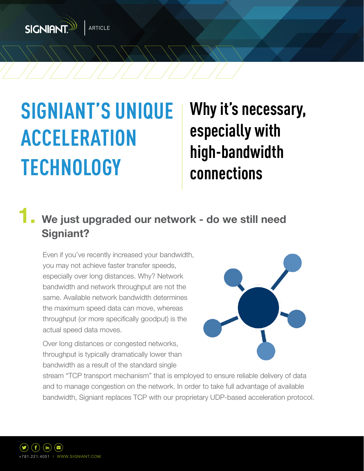

# **SIGNIANT'S UNIQUE ACCELERATION TECHNOLOGY**

**Why it's necessary, especially with high-bandwidth connections**

#### We just upgraded our network - do we still need  **Signiant?**

Even if you've recently increased your bandwidth, you may not achieve faster transfer speeds, especially over long distances. Why? Network bandwidth and network throughput are not the same. Available network bandwidth determines the maximum speed data can move, whereas throughput (or more specifically goodput) is the actual speed data moves.

Over long distances or congested networks, throughput is typically dramatically lower than bandwidth as a result of the standard single



stream "TCP transport mechanism" that is employed to ensure reliable delivery of data and to manage congestion on the network. In order to take full advantage of available bandwidth, Signiant replaces TCP with our proprietary UDP-based acceleration protocol.

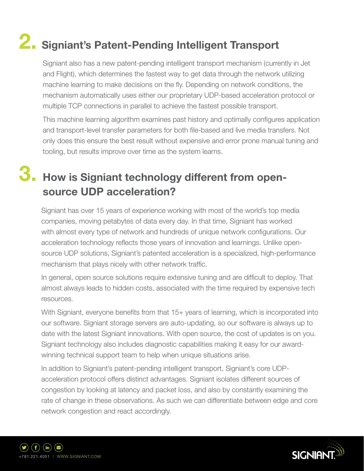## **2. Signiant's Patent-Pending Intelligent Transport**

Signiant also has a new patent-pending intelligent transport mechanism (currently in Jet and Flight), which determines the fastest way to get data through the network utilizing machine learning to make decisions on the fly. Depending on network conditions, the mechanism automatically uses either our proprietary UDP-based acceleration protocol or multiple TCP connections in parallel to achieve the fastest possible transport.

This machine learning algorithm examines past history and optimally configures application and transport-level transfer parameters for both file-based and live media transfers. Not only does this ensure the best result without expensive and error prone manual tuning and tooling, but results improve over time as the system learns.

### **3. How is Signiant technology different from open source UDP acceleration?**

Signiant has over 15 years of experience working with most of the world's top media companies, moving petabytes of data every day. In that time, Signiant has worked with almost every type of network and hundreds of unique network configurations. Our acceleration technology reflects those years of innovation and learnings. Unlike opensource UDP solutions, Signiant's patented acceleration is a specialized, high-performance mechanism that plays nicely with other network traffic.

In general, open source solutions require extensive tuning and are difficult to deploy. That almost always leads to hidden costs, associated with the time required by expensive tech resources.

With Signiant, everyone benefits from that 15+ years of learning, which is incorporated into our software. Signiant storage servers are auto-updating, so our software is always up to date with the latest Signiant innovations. With open source, the cost of updates is on you. Signiant technology also includes diagnostic capabilities making it easy for our awardwinning technical support team to help when unique situations arise.

In addition to Signiant's patent-pending intelligent transport, Signiant's core UDPacceleration protocol offers distinct advantages. Signiant isolates different sources of congestion by looking at latency and packet loss, and also by constantly examining the rate of change in these observations. As such we can differentiate between edge and core network congestion and react accordingly.